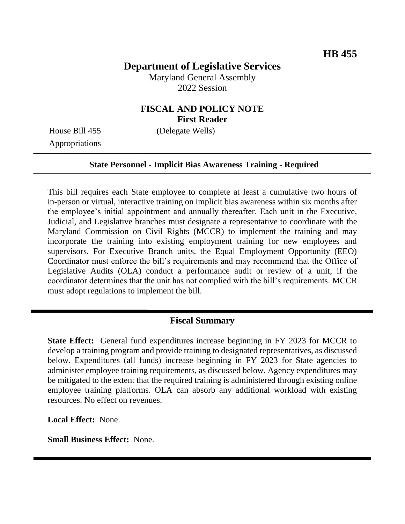# **Department of Legislative Services**

Maryland General Assembly 2022 Session

### **FISCAL AND POLICY NOTE First Reader**

Appropriations

House Bill 455 (Delegate Wells)

#### **State Personnel - Implicit Bias Awareness Training - Required**

This bill requires each State employee to complete at least a cumulative two hours of in-person or virtual, interactive training on implicit bias awareness within six months after the employee's initial appointment and annually thereafter. Each unit in the Executive, Judicial, and Legislative branches must designate a representative to coordinate with the Maryland Commission on Civil Rights (MCCR) to implement the training and may incorporate the training into existing employment training for new employees and supervisors. For Executive Branch units, the Equal Employment Opportunity (EEO) Coordinator must enforce the bill's requirements and may recommend that the Office of Legislative Audits (OLA) conduct a performance audit or review of a unit, if the coordinator determines that the unit has not complied with the bill's requirements. MCCR must adopt regulations to implement the bill.

#### **Fiscal Summary**

**State Effect:** General fund expenditures increase beginning in FY 2023 for MCCR to develop a training program and provide training to designated representatives, as discussed below. Expenditures (all funds) increase beginning in FY 2023 for State agencies to administer employee training requirements, as discussed below. Agency expenditures may be mitigated to the extent that the required training is administered through existing online employee training platforms. OLA can absorb any additional workload with existing resources. No effect on revenues.

**Local Effect:** None.

**Small Business Effect:** None.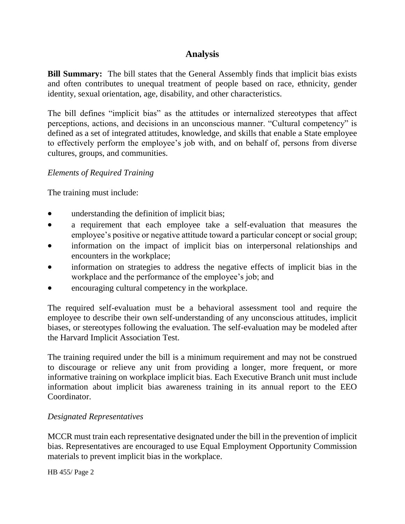## **Analysis**

**Bill Summary:** The bill states that the General Assembly finds that implicit bias exists and often contributes to unequal treatment of people based on race, ethnicity, gender identity, sexual orientation, age, disability, and other characteristics.

The bill defines "implicit bias" as the attitudes or internalized stereotypes that affect perceptions, actions, and decisions in an unconscious manner. "Cultural competency" is defined as a set of integrated attitudes, knowledge, and skills that enable a State employee to effectively perform the employee's job with, and on behalf of, persons from diverse cultures, groups, and communities.

### *Elements of Required Training*

The training must include:

- understanding the definition of implicit bias;
- a requirement that each employee take a self-evaluation that measures the employee's positive or negative attitude toward a particular concept or social group;
- information on the impact of implicit bias on interpersonal relationships and encounters in the workplace;
- information on strategies to address the negative effects of implicit bias in the workplace and the performance of the employee's job; and
- encouraging cultural competency in the workplace.

The required self-evaluation must be a behavioral assessment tool and require the employee to describe their own self-understanding of any unconscious attitudes, implicit biases, or stereotypes following the evaluation. The self-evaluation may be modeled after the Harvard Implicit Association Test.

The training required under the bill is a minimum requirement and may not be construed to discourage or relieve any unit from providing a longer, more frequent, or more informative training on workplace implicit bias. Each Executive Branch unit must include information about implicit bias awareness training in its annual report to the EEO Coordinator.

### *Designated Representatives*

MCCR must train each representative designated under the bill in the prevention of implicit bias. Representatives are encouraged to use Equal Employment Opportunity Commission materials to prevent implicit bias in the workplace.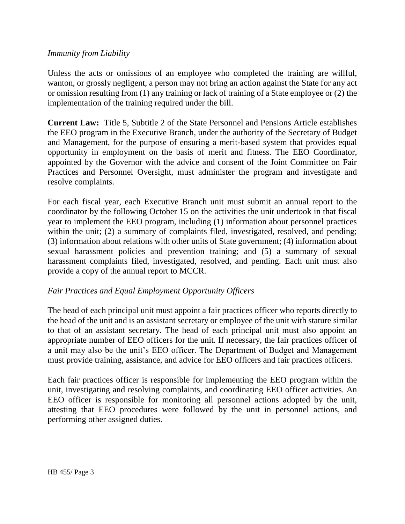#### *Immunity from Liability*

Unless the acts or omissions of an employee who completed the training are willful, wanton, or grossly negligent, a person may not bring an action against the State for any act or omission resulting from (1) any training or lack of training of a State employee or (2) the implementation of the training required under the bill.

**Current Law:** Title 5, Subtitle 2 of the State Personnel and Pensions Article establishes the EEO program in the Executive Branch, under the authority of the Secretary of Budget and Management, for the purpose of ensuring a merit-based system that provides equal opportunity in employment on the basis of merit and fitness. The EEO Coordinator, appointed by the Governor with the advice and consent of the Joint Committee on Fair Practices and Personnel Oversight, must administer the program and investigate and resolve complaints.

For each fiscal year, each Executive Branch unit must submit an annual report to the coordinator by the following October 15 on the activities the unit undertook in that fiscal year to implement the EEO program, including (1) information about personnel practices within the unit; (2) a summary of complaints filed, investigated, resolved, and pending; (3) information about relations with other units of State government; (4) information about sexual harassment policies and prevention training; and (5) a summary of sexual harassment complaints filed, investigated, resolved, and pending. Each unit must also provide a copy of the annual report to MCCR.

### *Fair Practices and Equal Employment Opportunity Officers*

The head of each principal unit must appoint a fair practices officer who reports directly to the head of the unit and is an assistant secretary or employee of the unit with stature similar to that of an assistant secretary. The head of each principal unit must also appoint an appropriate number of EEO officers for the unit. If necessary, the fair practices officer of a unit may also be the unit's EEO officer. The Department of Budget and Management must provide training, assistance, and advice for EEO officers and fair practices officers.

Each fair practices officer is responsible for implementing the EEO program within the unit, investigating and resolving complaints, and coordinating EEO officer activities. An EEO officer is responsible for monitoring all personnel actions adopted by the unit, attesting that EEO procedures were followed by the unit in personnel actions, and performing other assigned duties.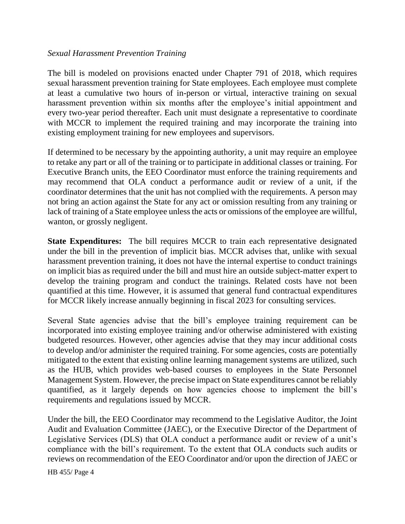#### *Sexual Harassment Prevention Training*

The bill is modeled on provisions enacted under Chapter 791 of 2018, which requires sexual harassment prevention training for State employees. Each employee must complete at least a cumulative two hours of in-person or virtual, interactive training on sexual harassment prevention within six months after the employee's initial appointment and every two-year period thereafter. Each unit must designate a representative to coordinate with MCCR to implement the required training and may incorporate the training into existing employment training for new employees and supervisors.

If determined to be necessary by the appointing authority, a unit may require an employee to retake any part or all of the training or to participate in additional classes or training. For Executive Branch units, the EEO Coordinator must enforce the training requirements and may recommend that OLA conduct a performance audit or review of a unit, if the coordinator determines that the unit has not complied with the requirements. A person may not bring an action against the State for any act or omission resulting from any training or lack of training of a State employee unless the acts or omissions of the employee are willful, wanton, or grossly negligent.

**State Expenditures:** The bill requires MCCR to train each representative designated under the bill in the prevention of implicit bias. MCCR advises that, unlike with sexual harassment prevention training, it does not have the internal expertise to conduct trainings on implicit bias as required under the bill and must hire an outside subject-matter expert to develop the training program and conduct the trainings. Related costs have not been quantified at this time. However, it is assumed that general fund contractual expenditures for MCCR likely increase annually beginning in fiscal 2023 for consulting services.

Several State agencies advise that the bill's employee training requirement can be incorporated into existing employee training and/or otherwise administered with existing budgeted resources. However, other agencies advise that they may incur additional costs to develop and/or administer the required training. For some agencies, costs are potentially mitigated to the extent that existing online learning management systems are utilized, such as the HUB, which provides web-based courses to employees in the State Personnel Management System. However, the precise impact on State expenditures cannot be reliably quantified, as it largely depends on how agencies choose to implement the bill's requirements and regulations issued by MCCR.

Under the bill, the EEO Coordinator may recommend to the Legislative Auditor, the Joint Audit and Evaluation Committee (JAEC), or the Executive Director of the Department of Legislative Services (DLS) that OLA conduct a performance audit or review of a unit's compliance with the bill's requirement. To the extent that OLA conducts such audits or reviews on recommendation of the EEO Coordinator and/or upon the direction of JAEC or